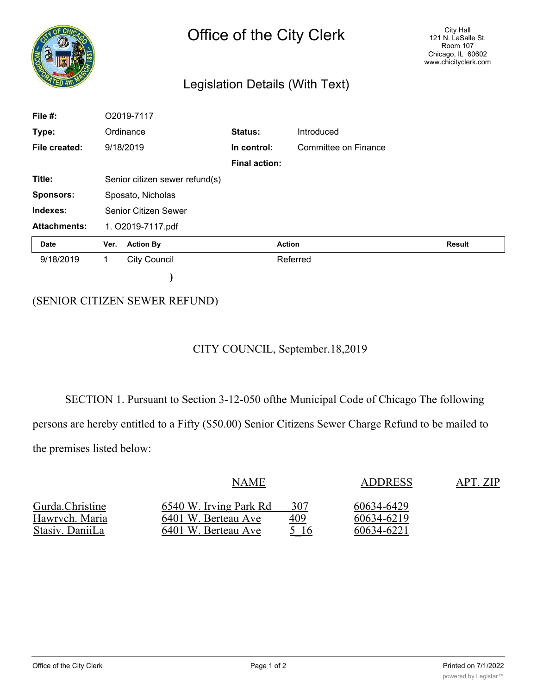| <b>NOON</b>         | Office of the City Clerk<br>Legislation Details (With Text) |                                |  |                      |                      | <b>City Hall</b><br>121 N. LaSalle St.<br>Room 107<br>Chicago, IL 60602<br>www.chicityclerk.com |  |  |  |
|---------------------|-------------------------------------------------------------|--------------------------------|--|----------------------|----------------------|-------------------------------------------------------------------------------------------------|--|--|--|
|                     |                                                             |                                |  |                      |                      |                                                                                                 |  |  |  |
| File #:             |                                                             | O2019-7117                     |  |                      |                      |                                                                                                 |  |  |  |
| Type:               |                                                             | Ordinance                      |  | <b>Status:</b>       | Introduced           |                                                                                                 |  |  |  |
| File created:       |                                                             | 9/18/2019                      |  | In control:          | Committee on Finance |                                                                                                 |  |  |  |
|                     |                                                             |                                |  | <b>Final action:</b> |                      |                                                                                                 |  |  |  |
| Title:              |                                                             | Senior citizen sewer refund(s) |  |                      |                      |                                                                                                 |  |  |  |
| <b>Sponsors:</b>    |                                                             | Sposato, Nicholas              |  |                      |                      |                                                                                                 |  |  |  |
| Indexes:            |                                                             | <b>Senior Citizen Sewer</b>    |  |                      |                      |                                                                                                 |  |  |  |
| <b>Attachments:</b> |                                                             | 1. O2019-7117.pdf              |  |                      |                      |                                                                                                 |  |  |  |
| <b>Date</b>         | Ver.                                                        | <b>Action By</b>               |  | <b>Action</b>        |                      | <b>Result</b>                                                                                   |  |  |  |
| 9/18/2019           | <b>City Council</b><br>1                                    |                                |  | Referred             |                      |                                                                                                 |  |  |  |
|                     |                                                             |                                |  |                      |                      |                                                                                                 |  |  |  |

## (SENIOR CITIZEN SEWER REFUND)

## CITY COUNCIL, September.18,2019

SECTION 1. Pursuant to Section 3-12-050 ofthe Municipal Code of Chicago The following persons are hereby entitled to a Fifty (\$50.00) Senior Citizens Sewer Charge Refund to be mailed to the premises listed below:

|                 | <b>NAME</b>            |      | <b>ADDRESS</b> | APT. ZIP |
|-----------------|------------------------|------|----------------|----------|
| Gurda.Christine | 6540 W. Irving Park Rd | 307  | 60634-6429     |          |
| Hawrvch. Maria  | 6401 W. Berteau Ave    | 409  | 60634-6219     |          |
| Stasiv. DaniiLa | 6401 W. Berteau Ave    | 5 16 | 60634-6221     |          |